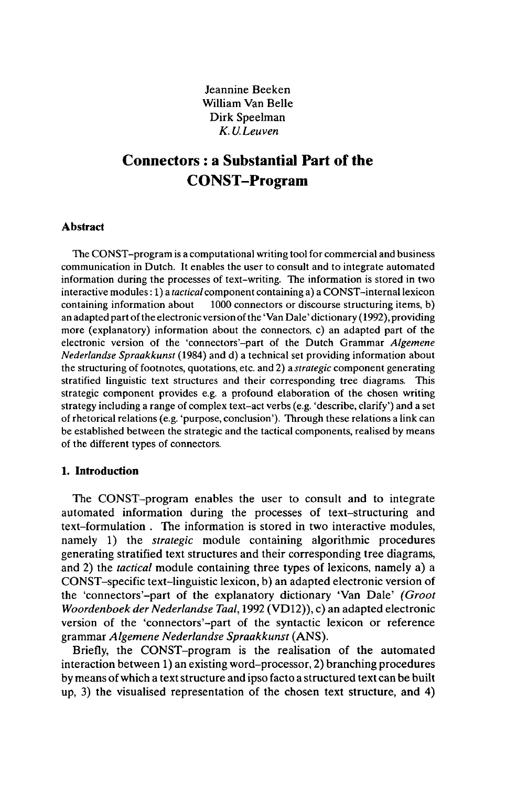Jeannine Beeken William Van Belle Dirk Speelman *K.U.Leuven*

# **Connectors : a Substantial Part of the CONST-Program**

### **Abstract**

The CONST-program is a computational writing tool for commercial and business communication in Dutch. It enables the user to consult and to integrate automated information during the processes of text-writing. The information is stored in two interactive modules : 1) a *tactical* component containing a) a CONST-internallexicon 1000 connectors or discourse structuring items, b) an adapted part of the electronic version of the 'Van Dale' dictionary (1992), providing more (explanatory) information about the connectors, c) an adapted part of the electronic version of the 'connectors'-part of the Dutch Grammar *Algemene Nederlandse Spraakkunst* (1984) and d) a technical set providing information about the structuring of footnotes, quotations, etc. and 2) a *strategic* component generating stratified linguistic text structures and their corresponding tree diagrams. This strategic component provides e.g. a profound elaboration of the chosen writing strategy including a range of complex text-act verbs (e.g. 'describe, clarify') and a set of rhetorical relations (e.g. 'purpose, conclusion'). Through these relations a link can be established between the strategic and the tactical components, realised by means of the different types of connectors.

### **1. Introduction**

The CONST-program enables the user to consult and to integrate automated information during the processes of text-structuring and text-formulation . The information is stored in two interactive modules, namely 1) the *strategic* module containing algorithmic procedures generating stratified text structures and their corresponding tree diagrams, and 2) the *tactical* module containing three types of lexicons, namely a) a CONST-specific text-linguistic lexicon, b) an adapted electronic version of the 'connectors'-part of the explanatory dictionary 'Van Dale' *(Groot Woordenboek der Nederlandse Taal, 1992 (VD12)), c) an adapted electronic* version of the 'connectors'-part of the syntactic lexicon or reference grammar *Algemene Nederlandse Spraakkunst* (ANS).

Briefly, the CONST-program is the realisation of the automated interaction between 1) an existing word-processor, 2) branching procedures by means ofwhich a textstructure and ipso facto a structured text can be built up, 3) the visualised representation of the chosen text structure, and 4)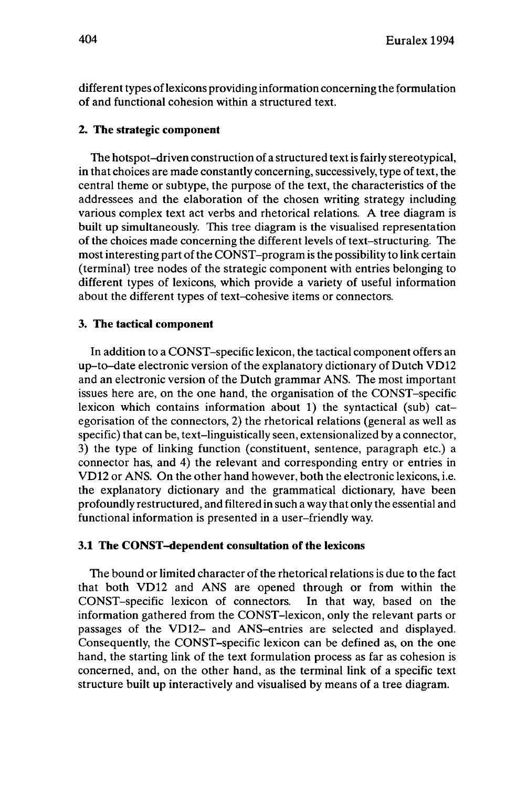different types of lexicons providing information concerning the formulation of and functional cohesion within a structured text.

# **2. The strategic component**

The hotspot-driven construction of a structured textis fairly stereotypical, in that choices are made constantly concerning, successively, type of text, the central theme or subtype, the purpose of the text, the characteristics of the addressees and the elaboration of the chosen writing strategy including various complex text act verbs and rhetorical relations. A tree diagram is built up simultaneously. This tree diagram is the visualised representation of the choices made concerning the different levels of text-structuring. The most interesting part of the CONST-program is the possibility to link certain (terminal) tree nodes of the strategic component with entries belonging to different types of lexicons, which provide a variety of useful information about the different types of text-cohesive items or connectors.

# **3. The tactical component**

In addition to a CONST-specific lexicon, the tactical component offers an up-to-date electronic version of the explanatory dictionary of Dutch VD12 and an electronic version of the Dutch grammar ANS. The most important issues here are, on the one hand, the organisation of the CONST-specific lexicon which contains information about 1) the syntactical (sub) categorisation of the connectors, 2) the rhetorical relations (general as well as specific) that can be, text-linguistically seen, extensionalized by a connector, 3) the type of linking function (constituent, sentence, paragraph etc.) a connector has, and 4) the relevant and corresponding entry or entries in VD12 or ANS. On the other hand however, both the electronic lexicons, i.e. the explanatory dictionary and the grammatical dictionary, have been profoundly restructured, and filtered in such a way that only the essential and functional information is presented in a user-friendly way.

### **3.1 The CONST-dependent consultation of the lexicons**

The bound or limited character of the rhetorical relations is due to the fact that both VD12 and ANS are opened through or from within the CONST-specific lexicon of connectors. In that way, based on the information gathered from the CONST-lexicon, only the relevant parts or passages of the VD12- and ANS-entries are selected and displayed. Consequently, the CONST-specific lexicon can be defined as, on the one hand, the starting link of the text formulation process as far as cohesion is concerned, and, on the other hand, as the terminal link of a specific text structure built up interactively and visualised by means of a tree diagram.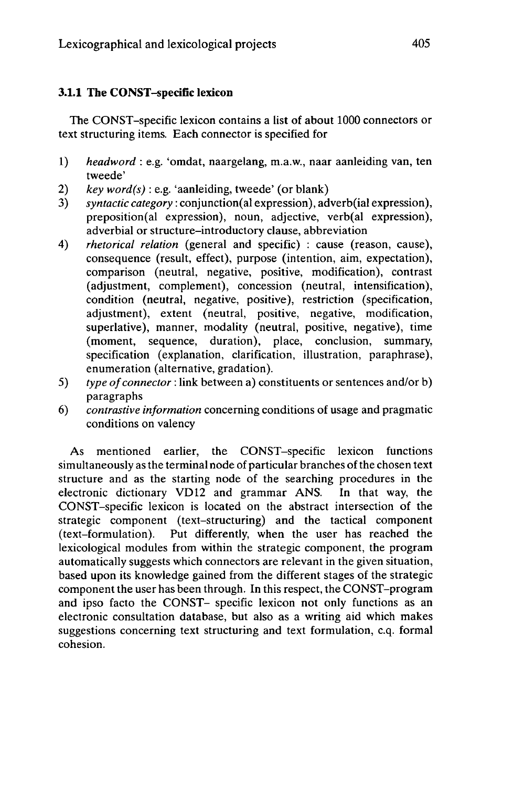# **3.1.1 The CONST-specific lexicon**

The CONST-specific lexicon contains a list of about 1000 connectors or text structuring items. Each connector is specified for

- 1) *headword* : e.g. 'omdat, naargelang, m.a.w., naar aanleiding van, ten tweede'
- 2) *key word(s)* : e.g. 'aanleiding, tweede' (or blank)
- 3) *syntactic category* : conjunction(al expression), adverb(ial expression), preposition(al expression), noun, adjective, verb(al expression), adverbial or structure-introductory clause, abbreviation
- 4) *rhetorical relation* (general and specific) : cause (reason, cause), consequence (result, effect), purpose (intention, aim, expectation), comparison (neutral, negative, positive, modification), contrast (adjustment, complement), concession (neutral, intensification), condition (neutral, negative, positive), restriction (specification, adjustment), extent (neutral, positive, negative, modification, superlative), manner, modality (neutral, positive, negative), time (moment, sequence, duration), place, conclusion, summary, specification (explanation, clarification, illustration, paraphrase), enumeration (alternative, gradation).
- 5) *type ofconnector* : link between a) constituents or sentences and/or b) paragraphs
- 6) *contrastive information* concerning conditions of usage and pragmatic conditions on valency

As mentioned earlier, the CONST-specific lexicon functions simultaneously as the terminal node of particular branches of the chosen text structure and as the starting node of the searching procedures in the electronic dictionary VD12 and grammar ANS. In that way, the CONST-specific lexicon is located on the abstract intersection of the strategic component (text-structuring) and the tactical component (text-formulation). Put differently, when the user has reached the lexicological modules from within the strategic component, the program automatically suggests which connectors are relevant in the given situation, based upon its knowledge gained from the different stages of the strategic component the user has been through. In this respect, the CONST-program and ipso facto the CONST- specific lexicon not only functions as an electronic consultation database, but also as a writing aid which makes suggestions concerning text structuring and text formulation, c.q. formal cohesion.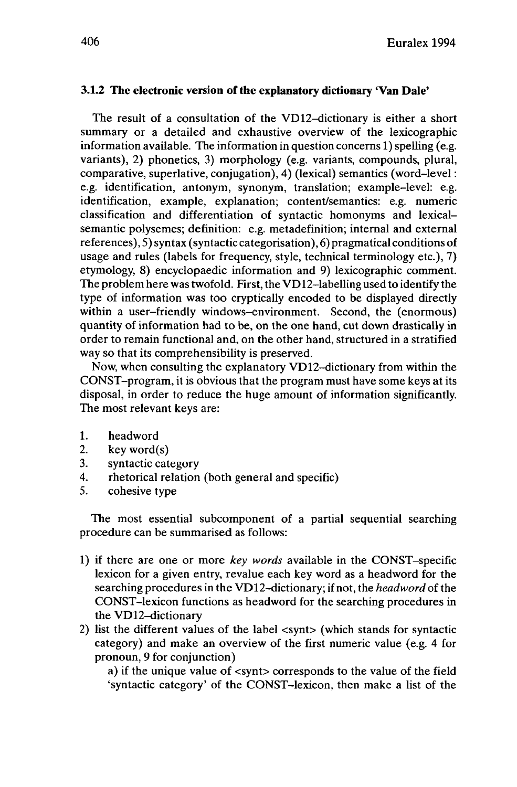# **3.1.2 The electronic version ofthe explanatory dictionary 'Van Dale'**

The result of a consultation of the VD12-dictionary is either a short summary or a detailed and exhaustive overview of the lexicographic information available. The information in question concerns 1) spelling (e.g. variants), 2) phonetics, 3) morphology (e.g. variants, compounds, plural, comparative, superlative, conjugation), 4) (lexical) semantics (word-level : e.g. identification, antonym, synonym, translation; example-level: e.g. identification, example, explanation; content/semantics: e.g. numeric classification and differentiation of syntactic homonyms and lexicalsemantic polysemes; definition: e.g. metadefinition; internal and external references), 5) syntax (syntactic categorisation), 6) pragmatical conditions of usage and rules (labels for frequency, style, technical terminology etc.), 7) etymology, 8) encyclopaedic information and 9) lexicographic comment. The problem here wastwofold. First, the VD12-labelling used to identify the type of information was too cryptically encoded to be displayed directly within a user-friendly windows-environment. Second, the (enormous) quantity of information had to be, on the one hand, cut down drastically in order to remain functional and, on the other hand, structured in a stratified way so that its comprehensibility is preserved.

Now, when consulting the explanatory VD12-dictionary from within the CONST-program, it is obvious that the program must have some keys at its disposal, in order to reduce the huge amount of information significantly. The most relevant keys are:

- 1. headword<br>2. key word
- $key word(s)$
- 3. syntactic category
- 4. rhetorical relation (both general and specific)<br>5. cohesive type
- cohesive type

The most essential subcomponent of a partial sequential searching procedure can be summarised as follows:

- 1) if there are one or more *key words* available in the CONST-specific lexicon for a given entry, revalue each key word as a headword for the searching procedures in the VD12-dictionary; if not, the *headword* of the CONST-lexicon functions as headword for the searching procedures in the VD12-dictionary
- 2) list the different values of the label <synt> (which stands for syntactic category) and make an overview of the first numeric value (e.g. 4 for pronoun, 9 for conjunction)

a) if the unique value of <synt> corresponds to the value of the field 'syntactic category' of the CONST-lexicon, then make a list of the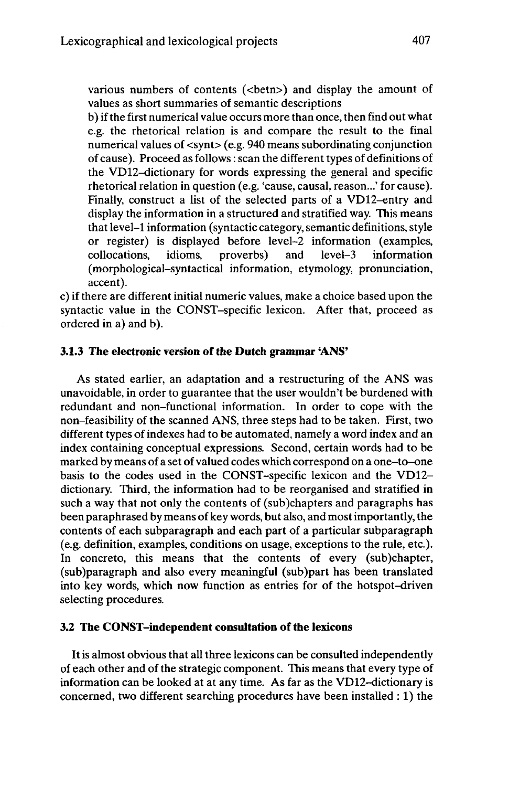various numbers of contents (<br/>betn>) and display the amount of values as short summaries of semantic descriptions

b) ifthe first numerical value occurs more than once, then find out what e.g. the rhetorical relation is and compare the result to the final numerical values of <synt> (e.g. 940 means subordinating conjunction of cause). Proceed as follows : scan the different types of definitions of the VD12-dictionary for words expressing the general and specific rhetorical relation in question (e.g. 'cause, causal, reason...' for cause). Finally, construct a list of the selected parts of a VD12-entry and display the information in a structured and stratified way. This means that level-1 information (syntactic category, semantic definitions, style or register) is displayed before level-2 information (examples, collocations, idioms, proverbs) and level-3 information collocations. (morphological-syntactical information, etymology, pronunciation, accent),

c) if there are different initial numeric values, make a choice based upon the syntactic value in the CONST-specific lexicon. After that, proceed as ordered in a) and b).

## **3.1.3 The electronic version ofthe Dutch grammar 'ANS'**

As stated earlier, an adaptation and a restructuring of the ANS was unavoidable, in order to guarantee that the user wouldn't be burdened with redundant and non-functional information. In order to cope with the non-feasibility of the scanned ANS, three steps had to be taken. First, two different types of indexes had to be automated, namely a word index and an index containing conceptual expressions. Second, certain words had to be marked by means of a set of valued codes which correspond on a one-to-one basis to the codes used in the CONST-specific lexicon and the VD12 dictionary. Third, the information had to be reorganised and stratified in such a way that not only the contents of (sub)chapters and paragraphs has been paraphrased by means of key words, but also, and mostimportantly, the contents of each subparagraph and each part of a particular subparagraph (e.g. definition, examples, conditions on usage, exceptions to the rule, etc.). In concreto, this means that the contents of every (sub)chapter, (sub)paragraph and also every meaningful (sub)part has been translated into key words, which now function as entries for of the hotspot-driven selecting procedures.

# **3.2 The CONST-independent consultation of the lexicons**

**It** is almost obvious that all three lexicons can be consulted independently of each other and of the strategic component. This means that every type of information can be looked at at any time. As far as the VD12-dictionary is concerned, two different searching procedures have been installed : 1) the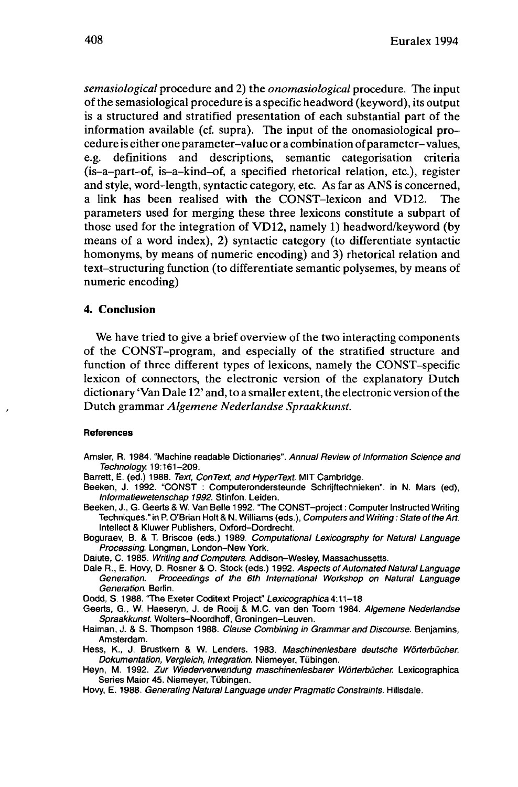*semasiological* procedure and 2) the *onomasiological* procedure. The input of the semasiological procedure is a specific headword (keyword), its output is a structured and stratified presentation of each substantial part of the information available (cf. supra). The input of the onomasiological procedure is either one parameter-value or a combination of parameter-values, e.g. definitions and descriptions, semantic categorisation criteria (is-a-part-of, is-a-kind-of, a specified rhetorical relation, etc.), register and style, word-length, syntactic category, etc. As far as ANS is concerned, a link has been realised with the CONST-lexicon and VD12. The parameters used for merging these three lexicons constitute a subpart of those used for the integration of VD12, namely 1) headword/keyword (by means of a word index), 2) syntactic category (to differentiate syntactic homonyms, by means of numeric encoding) and 3) rhetorical relation and text-structuring function (to differentiate semantic polysemes, by means of numeric encoding)

# 4. Conclusion

We have tried to give a brief overview of the two interacting components of the CONST-program, and especially of the stratified structure and function of three different types of lexicons, namely the CONST-specific lexicon of connectors, the electronic version of the explanatory Dutch dictionary 'Van Dale 12' and, to a smaller extent, the electronic version ofthe Dutch grammar *Algemene Nederlandse Spraakkunst.*

#### References

- Amsler, R. 1984. "Machine readable Dictionaries". Annual Review of Information Science and Technology. 19:161-209.
- Barrett, E. (ed.) 1988. Text, ConText, and HyperText. MIT Cambridge.
- Beeken, J. 1992. "CONST : Computerondersteunde Schrijftechnieken". in N. Mars (ed), Informatiewetenschap 1992. Stinfon. Leiden.
- Beeken, J., G. Geerts & W. Van Belle 1992. "The CONST-project : Computer Instructed Writing Techniques." in P. O'Brian Holt & N. Williams (eds.), Computers and Writing : State of the Art. Intellect & Kluwer Publishers, Oxford-Dordrecht.
- Boguraev, B. & T. Briscoe (eds.) 1989. Computational Lexicography for Natural Language Processing. Longman, London-New York.
- Daiute, C. 1985. Writing and Computers. Addison-Wesley, Massachussetts.
- Dale R., E. Hovy, D. Rosner & O. Stock (eds.) 1992. Aspects of Automated Natural Language<br>Generation. Proceedings of the 6th International Workshop on Natural Language Proceedings of the 6th International Workshop on Natural Language Generation. Berlin.
- Dodd, S. 1988. "The Exeter Coditext Project" Lexicographica 4:11-18
- Geerts, G., W. Haeseryn, J. de Rooij & M.C. van den Toorn 1984. Algemene Nederlandse Spraakkunst. Wolters-Noordhoff, Groningen-Leuven.
- Haiman, J. & S. Thompson 1988. Clause Combining in Grammar and Discourse. Benjamins, Amsterdam.
- Hess, K., J. Brustkern & W. Lenders. 1983. Maschinenlesbare deutsche Wörterbücher. Dokumentation, Vergleich, Integration. Niemeyer, Tübingen.
- Heyn, M. 1992. Zur Wiederverwendung maschinenlesbarer Wörterbücher. Lexicographica Series Maior 45. Niemeyer, Tübingen.
- Hovy, E. 1988. Generating Natural Language under Pragmatic Constraints. Hillsdale.